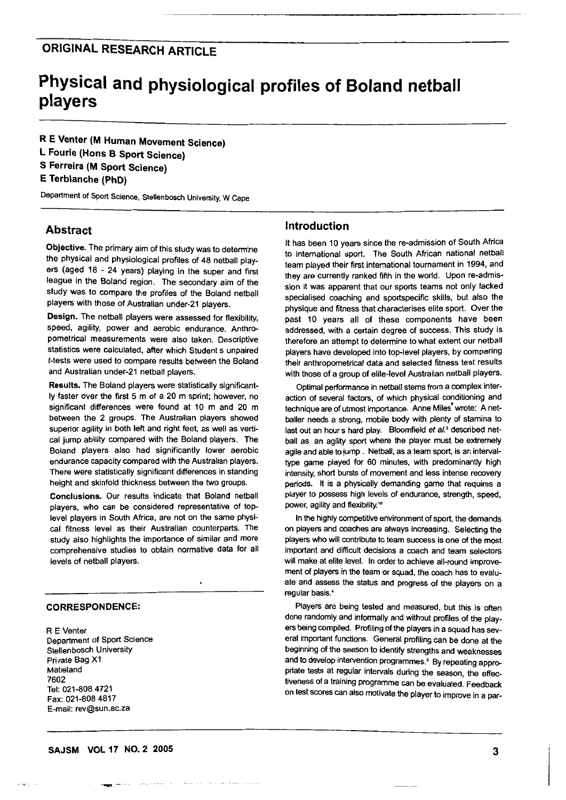# **ORIGINAL RESEARCH ARTICLE**

# **Physical and physiological profiles of Boland netball players**

**R E Venter (M Human Movement Science) L Fourie (Hons B Sport Science) S Ferreira (M Sport Science) E Terblanche (PhD)** 

Department of Sport Science, Stellenbosch University, W Cape

# **Abstract**

**Objective.** The primary aim of this study was to determine the physical and physiological profiles of 48 netball players (aged 18 - 24 years} playing in the super and first league in the Boland region. The secondary aim of the study was to compare the profiles of the Boland netball players with those of Australian under-21 players.

**Design.** The netball players were assessed for flexibility, speed, agility, power and aerobic endurance. Anthropometrical measurements were also taken. Descriptive statistics were calculated, after which Student s unpaired t-tests were used to compare results between the Boland and Australian under-21 netball players.

**Results.** The Boland players were statistically significantly faster over the first 5 m of a 20 m sprint; however, no significant differences were found at 10 m and 20 m between the 2 groups. The Australian players showed superior agility in both left and right feet, as well as vertical jump ability compared with the Boland players. The Boland players also had significantly lower aerobic endurance capacity compared with the Australian players. There were statistically significant differences in standing height and skinfold thickness between the two groups.

**Conclusions.** Our results indicate that Boland netball players, who can be considered representative of toplevel players in South Africa, are not on the same physical fitness level as their Australian counterparts. The study also highlights the importance of similar and more comprehensive studies to obtain normative data for all levels of netball players.

 $\blacksquare$ 

# **CORRESPONDENCE:**

R E Venter Department of Sport Science Stellenbosch University Private Bag X1 Matieland 7602 Tel: 021-808 4721 Fax: 021-808 4817 E-mail: rev@sun.ac.za

## **Introduction**

It has been 10 years since the re-admission of South Africa to international sport. The South African national netball team played their first international tournament in 1994, and they are currently ranked fifth in the world. Upon re-admission it was apparent that our sports teams not only lacked specialised coaching and sportspecific skills, but also the physique and fitness that characterises elite sport. Over the past 10 years all of these components have been addressed, with a certain degree of success. This study is therefore an attempt to determine to what extent our netball players have developed into top-level players, by comparing their anthropometrical data and selected fitness test results with those of a group of elite-level Australian netball players.

Optimal performance in netball stems from a complex interaction of several factors, of which physical conditioning and technique are of utmost importance. Anne Miles" wrote: A netbailer needs a strong, mobile body with plenty of stamina to last out an hour s hard play. Bloomfield *et al.*<sup>3</sup> described netball as an agility sport where the player must be extremely agile and able to jump . Netball, as a team sport, is an intervaltype game played for 60 minutes, with predominantly high intensity, short bursts of movement and less intense recovery periods. It is a physically demanding game that requires a player to possess high levels of endurance, strength, speed, power, agility and flexibility.<sup>16</sup>

In the highly competitive environment of sport, the demands on players and coaches are always increasing. Selecting the players who will contribute to team success is one of the most important and difficult decisions a coach and team selectors will make at elite level. In order to achieve all-round improvement of players in the team or squad, the coach has to evaluate and assess the status and progress of the players on a regular basis.•

Players are being tested and measured, but this is often done randomly and informally and without profiles of the players being compiled. Profiling of the players in a squad has several important functions. General profiling can be done at the beginning of the season to identify strengths and weaknesses and to develop intervention programmes.<sup>3</sup> By repeating appropriate tests at regular intervals during the season, the effectiveness of a training programme can be evaluated. Feedback on test scores can also motivate the player to improve in a par-

........,. -···

. . . . . . . . . .

and the same states of the same of the same of

**3**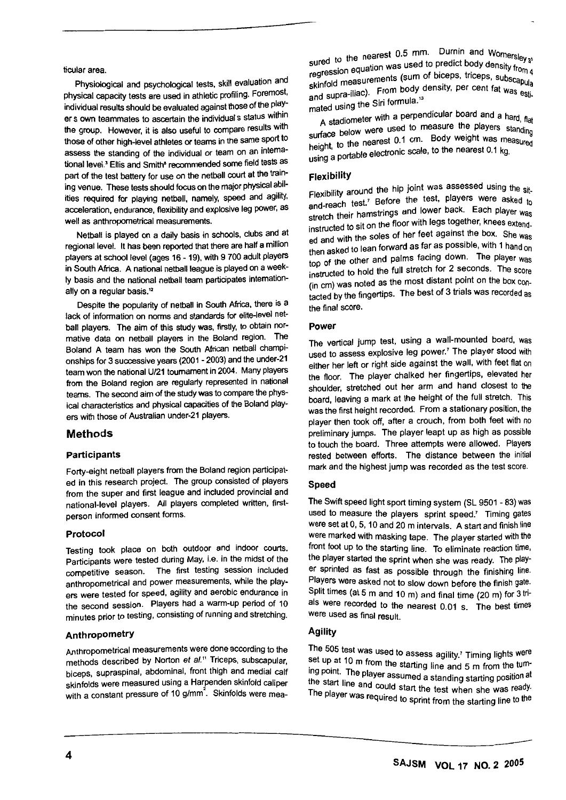ticular area.

Physiological and psychological tests, skill evaluation and physical capacity tests are used in athletic profiling. Foremost, individual results should be evaluated against those of the player s own teammates to ascertain the individual s status within the group. However, it is also useful to compare results with those of other high-level athletes or teams in the same sport to assess the standing of the individual or team on an intemational level.<sup>3</sup> Ellis and Smith<sup>®</sup> recommended some field tests as part of the test battery for use on the netball court at the training venue. These tests should focus on the major physical abilities required for playing netball, namely, speed and agility, acceleration, endurance, flexibility and explosive leg power, as well as anthropometrical measurements.

Netball is played on a daily basis in schools, clubs and at regional level. It has been reported that there are half a million players at school level (ages 16- 19). with 9 700 adult players in South Africa. A national netball league is played on a weekly basis and the national netball team participates internationally on a regular basis.<sup>12</sup>

Despite the popularity of netball in South Africa, there is a lack of information on norms and standards for elite-level netball players. The aim of this study was, firstly, to obtain normative data on netball players in the Boland region. The Boland A team has won the South African netball championships for 3 successive years (2001 - 2003) and the under-21 team won the national U/21 tournament in 2004. Many players from the Boland region are regularly represented in national teams. The second aim of the study was to compare the physical characteristics and physical capacities of the Boland players with those of Australian under-21 players.

### **Methods**

#### **Participants**

Forty-eight netball players from the Boland region participated in this research project. The group consisted of players from the super and first league and included provincial and national-level players. All players completed written, firstperson informed consent forms.

#### **Protocol**

Testing took place on both outdoor and indoor courts. Participants were tested during May, i.e. in the midst of the competitive season. The first testing session included anthropometrical and power measurements, while the players were tested for speed, agility and aerobic endurance in the second session. Players had a warm-up period of 10 minutes prior to testing, consisting of running and stretching.

#### **Anthropometry**

Anthropometrical measurements were done according to the methods described by Norton *et* a/." Triceps, subscapular, biceps, supraspinal, abdominal, front thigh and medial calf skinfolds were measured using a Harpenden skinfold caliper with a constant pressure of 10 g/mm<sup>2</sup>. Skinfolds were measured to the nearest 0.5 mm. Durnin and Womersley  $s^3$  regression equation was used to predict body density from 4 regression of sum of biceps, triceps, subscapularity per cent for a pular skinfold measurements (sum of biceps shingle of the body density, per cent fat was esti-<br>and supra-iliac). Qui formula <sup>13</sup> mated using the Siri formula.<sup>13</sup>

A stadiometer with a perpendicular board and a hard, flat A stadiometer with a part<br>face below were used to measure the players standing surface below were 0.1 cm. Body weight was measured hearth, 10 research of the nearest 0.1 kg.

#### **Flexibility**

Flexibility around the hip joint was assessed using the sit-H THE SINGROUND THE SITE SITE SITE SITE SITE And-reach test.<sup>7</sup> Before the test, players were asked to stretch their hamstrings and lower back. Each player was stretch their hamstrings and lower back. Each player was<br>instructed to sit on the floor with legs together, knees extend-<br>instructed to sit on the floor with legs together, knees extenddiscussion to the soles of her feet against the box. She was then asked to lean forward as far as possible, with 1 hand on top of the other and palms facing down. The player was instructed to hold the full stretch for 2 seconds. The score (in cm) was noted as the most distant point on the box contacted by the fingertips. The best of 3 trials was recorded as the final score.

#### **Power**

The vertical jump test, using a wall-mounted board, was used to assess explosive leg power. <sup>7</sup>The player stood with either her left or right side against the wall, with feet flat on the floor. The player chalked her fingertips, elevated her shoulder, stretched out her arm and hand closest to the board, leaving a mark at the height of the full stretch. This was the first height recorded. From a stationary position, the player then took off, after a crouch, from both feet with no preliminary jumps. The player leapt up as high as possible to touch the board. Three attempts were allowed. Players rested between efforts. The distance between the initial mark and the highest jump was recorded as the test score.

#### **Speed**

The Swift speed light sport timing system (SL 9501 - 83) was used to measure the players sprint speed.<sup>7</sup> Timing gates were set at 0, 5, 10 and 20 m intervals. A start and finish line were marked with masking tape. The player started with the front foot up to the starting line. To eliminate reaction time, the player started the sprint when she was ready. The player sprinted as fast as possible through the finishing line. Players were asked not to slow down before the finish gate. Split times (at 5 m and 10m) and final time (20m) for 3 trials were recorded to the nearest 0.01 s. The best times were used as final result.

### **Agility**

The 505 test was used to assess agility.<sup>7</sup> Timing lights were set up at 10 m from the starting line and 5 m from the tuming point. The player assumed a standing starting position at The start line and could start the test when she was ready. The player was required to sprint from the starting line to the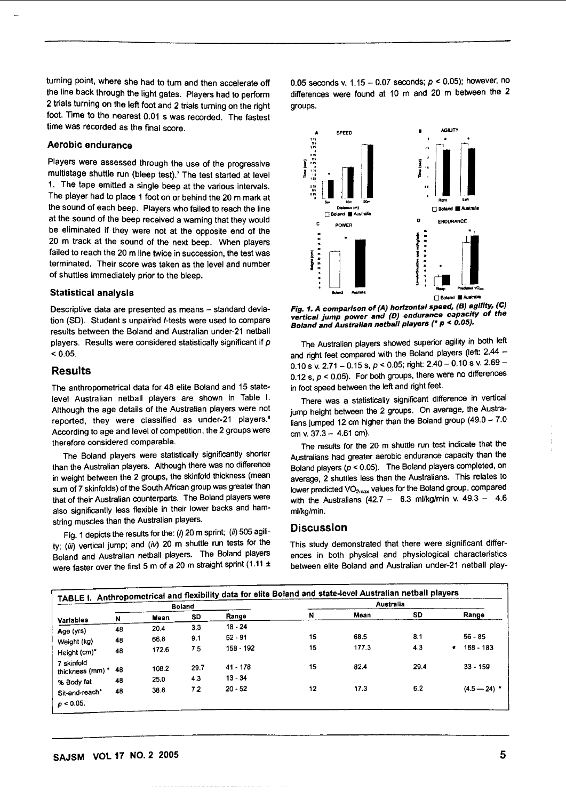turning point, where she had to turn and then accelerate off the line back through the light gates. Players had to perform 2 trials turning on the left foot and 2 trials turning on the right foot. Time to the nearest 0.01 s was recorded. The fastest time was recorded as the final score.

#### Aerobic endurance

Players were assessed through the use of the progressive multistage shuttle run (bleep test).7 The test started at level 1. The tape emitted a single beep at the various intervals. The player had to place 1 foot on or behind the 20 m mark at the sound of each beep. Players who failed to reach the line at the sound of the beep received a warning that they would be eliminated if they were not at the opposite end of the 20 m track at the sound of the next beep. When players failed to reach the 20 m line twice in succession, the test was terminated. Their score was taken as the level and number of shuttles immediately prior to the bleep.

#### Statistical analysis

Descriptive data are presented as means -- standard deviation (SD). Students unpaired t-tests were used to compare results between the Boland and Australian under-21 netball players. Results were considered statistically significant if p  $< 0.05.$ 

#### Results

The anthropometrical data for 48 elite Boland and 15 statelevel Australian netball players are shown in Table I. Although the age details of the Australian players were not reported, they were classified as under-21 players.• According to age and level of competition, the 2 groups were therefore considered comparable.

The Boland players were statistically significantly shorter than the Australian players. Although there was no difference in weight between the 2 groups, the skinfold thickness (mean sum of 7 skinfolds) of the South African group was greater than that of their Australian counterparts. The Boland players were also significantly less flexible in their lower backs and hamstring muscles than the Australian players.

Fig. 1 depicts the results for the: (i) 20 m sprint; (ii) 505 agility; (iii) vertical jump; and (iv) 20 m shuttle run tests for the Boland and Australian netball players. The Boland players were faster over the first 5 m of a 20 m straight sprint (1.11 ±

0.05 seconds v. 1.15 - 0.07 seconds; *p* < 0.05); however, no differences were found at 10 m and 20 m between the 2 groups.



vertical jump power and (D) endurance capacity of the Boland and Australian netball players (\* p < 0.05).

The Australian players showed superior agility in both left and right feet compared with the Boland players (left: 2.44 -0.10 s v. 2.71 - 0.15 s,  $p < 0.05$ ; right: 2.40 - 0.10 s v. 2.69 -0.12 s,  $p < 0.05$ ). For both groups, there were no differences in foot speed between the left and right feet.

There was a statistically significant difference in vertical jump height between the 2 groups. On average, the Australians jumped 12 cm higher than the Boland group  $(49.0 - 7.0$ cm v.  $37.3 - 4.61$  cm).

The results for the 20 m shuttle run test indicate that the Australians had greater aerobic endurance capacity than the Boland players *(p* < 0.05). The Boland players completed, on average, 2 shuttles less than the Australians. This relates to lower predicted VO<sub>2max</sub> values for the Boland group, compared with the Australians (42.7 - 6.3 ml/kg/min v.  $49.3 - 4.6$ ml/kg/min.

#### Discussion

This study demonstrated that there were significant differences in both physical and physiological characteristics between elite Boland and Australian under-21 netball play-

|                              | <b>Boland</b> |       |      | TABLE I. Anthropometrical and flexibility data for elite Boland and state-level Australian netball players<br>Australia |    |       |      |                          |
|------------------------------|---------------|-------|------|-------------------------------------------------------------------------------------------------------------------------|----|-------|------|--------------------------|
| <b>Variables</b>             | N             | Mean  | SD   | Range                                                                                                                   | N  | Mean  | SD   | Range                    |
| Age (yrs)                    | 48            | 20.4  | 3.3  | $18 - 24$                                                                                                               |    |       |      |                          |
| Weight (kg)                  | 48            | 66.8  | 9.1  | $52 - 91$                                                                                                               | 15 | 68.5  | 8.1  | $56 - 85$                |
| Height (cm)*                 | 48            | 172.6 | 7.5  | 158 - 192                                                                                                               | 15 | 177.3 | 4.3  | $168 - 183$<br>$\bullet$ |
| 7 skinfold<br>thickness (mm) | -48           | 108.2 | 29.7 | $41 - 178$                                                                                                              | 15 | 82.4  | 29.4 | $33 - 159$               |
| % Body fat                   | 48            | 25.0  | 4.3  | $13 - 34$                                                                                                               |    |       |      |                          |
| Sit-and-reach*               | 48            | 38.8  | 7.2  | $20 - 52$                                                                                                               | 12 | 17.3  | 6,2  | $(4.5 - 24)$ *           |
| $\rho < 0.05$ .              |               |       |      |                                                                                                                         |    |       |      |                          |

ŧ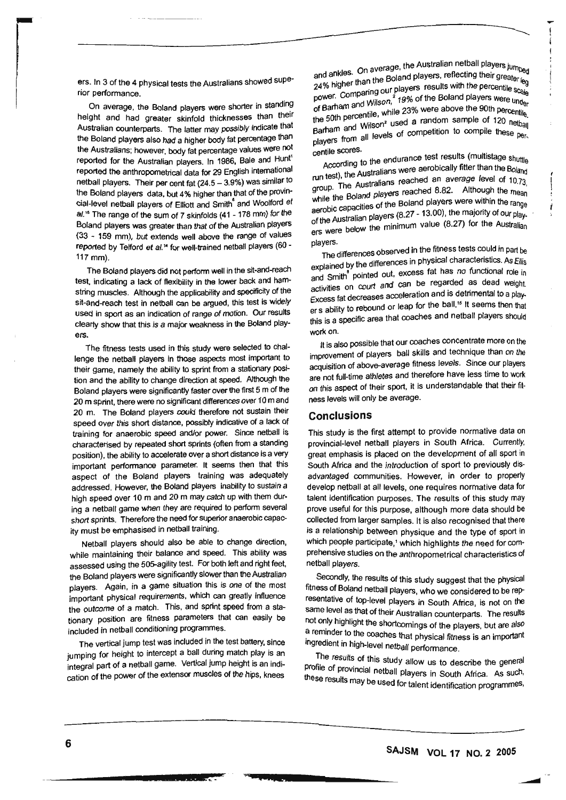ers. In 3 of the 4 physical tests the Australians showed superior performance.

On average, the Boland players were shorter in standing height and had greater skinfold thicknesses than their Australian counterparts. The latter may possibly indicate that the Boland players also had a higher body fat percentage than the Australians; however. body fat percentage values were not reported for the Australian players. In 1986, Bale and Hunt' reported the anthropometrical data for 29 English international netball players. Their per cent fat (24.5- 3.9%) was similar to the Boland players data, but 4% higher than that of the provincial-level netball players of Elliott and Smith • and Woolford *et*  al.<sup>16</sup> The range of the sum of 7 skinfolds (41 - 178 mm) for the Boland players was greater than that of the Australian players (33 - 159 mm), but extends well above the range of values reported by Telford et al.<sup>14</sup> for well-trained netball players (60 -117 mm).

The Boland players did not perform well in the sit-and-reach test, indicating a lack of flexibility in the lower back and hamstring muscles. Although the applicability and specificity of the sit-and-reach test in netball can be argued, this test is widely used in sport as an indication of range of motion. Our results clearly show that this is a major weakness in the Boland players.

The fitness tests used in this study were selected to challenge the netball players in those aspects most important to their game, namely the ability to sprint from a stationary position and the ability to change direction at speed. Although the Boland players were significantly faster over the first 5 m of the 20 m sprint, there were no significant differences over 10 m and 20 m. The Boland players could therefore not sustain their speed over this short distance, possibly indicative of a lack of training for anaerobic speed and/or power. Since netball is characterised by repeated short sprints (often from a standing position), the ability to accelerate over a short distance is a very important performance parameter. It seems then that this aspect of the Boland players training was adequately addressed. However, the Boland players inability to sustain a high speed over 10 m and 20 m may catch up with them during a netball game when they are required to perform several short sprints. Therefore the need for superior anaerobic capacity must be emphasised in netball training.

Netball players should also be able to change direction, while maintaining their balance and speed. This ability was assessed using the 505-agility test. For both left and right feet, the Boland players were significantly slower than the Australian players. Again, in a game situation this is one of the most important physical requirements, which can greatly influence the outcome of a match. This, and sprint speed from a stationary position are fitness parameters that can easily be included in netball conditioning programmes.

The vertical jump test was included in the test battery, since jumping for height to intercept a ball during match play is an integral part of a netball game. Vertical jump height is an indication of the power of the extensor muscles of the hips, knees

<sub>rage,</sub> the Australian netball players ju<sub>m</sub> and ankles. One at Boland players, reflecting their greater is and ankies. Unlater than the Boland players, reflecting their greater leg<br>24% higher than the Boland players results with the percentile scale<br>power. Comparing our players results with the percentile scale power. Companing out 2 19% of the Boland players were under<br>of Barham and Wilson, 19% of the Boland players were under<br>the 50th percentile, while 23% were above the 90th percentile. the burn personality used a random sample of 120 netball<br>players from all levels of competition to compile these per-<br>centile scores.

According to the endurance test results (multistage shuttle According to the Australians were aerobically fitter than the Boland run test), the Australians were aerobically fitter than the Boland run test), the Australians reached an average level of  $10.73$  group. The Australians reached 8.82. Although the mean while the Downe First plane Boland players were within the range aerobic capacities of the Boland players were within the range  $\frac{1}{100}$  of the Australian players (8.27 - 13.00), the majority of our play-<br>of the Australian players is a real of (8.27), for the Australian I the minimum value (8.27) for the Australian

players.<br>The differences observed in the fitness tests could in part be The differences observed in the titness tests could in part be<br>explained by the differences in physical characteristics. As Ellis<br>and Smith<sup>8</sup> pointed out, excess fat has no functional role in activities on court and can<br>Excess fat decreases acceleration and is detrimental to a play-<br>the ball <sup>15</sup> If seems than that Explanator by the court and can be regarded as dead weight.<br>activities on court and can be regarded as dead weight. Excess fat decreases acceleration and to the same of a play-<br>er s ability to rebound or leap for the ball.<sup>15</sup> It seems then that this is a specific area that coaches and netball players should work on.

It is also possible that our coaches concentrate more on the improvement of players ball skills and technique than on the acquisition of above-average fitness levels. Since our players are not full-time athletes and therefore have less time to work on this aspect of their sport, it is understandable that their fitness levels will only be average.

#### **Conclusions**

This study is the first attempt to provide normative data on provincial-level netball players in South Africa. Currently, great emphasis is placed on the development of all sport in South Africa and the introduction of sport to previously disadvantaged communities. However, in order to properly develop netball at all levels, one requires normative data for talent identification purposes. The results of this study may prove useful for this purpose, although more data should be collected from larger samples. It is also recognised that there is a relationship between physique and the type of sport in which people participate,' which highlights the need for comprehensive studies on the anthropometrical characteristics of netball players.

Secondly, the results of this study suggest that the physical fitness of Boland netball players, who we considered to be representative of top-level players in South Africa, is not on the same level as that of their Australian counterparts. The results not only highlight the shortcomings of the players, but are also a reminder to the coaches that physical fitness is an important ingredient in high-level netball performance.

The results of this study allow us to describe the general profile of provincial netball players in South Africa. As such. these results may be used for talent identification programmes,